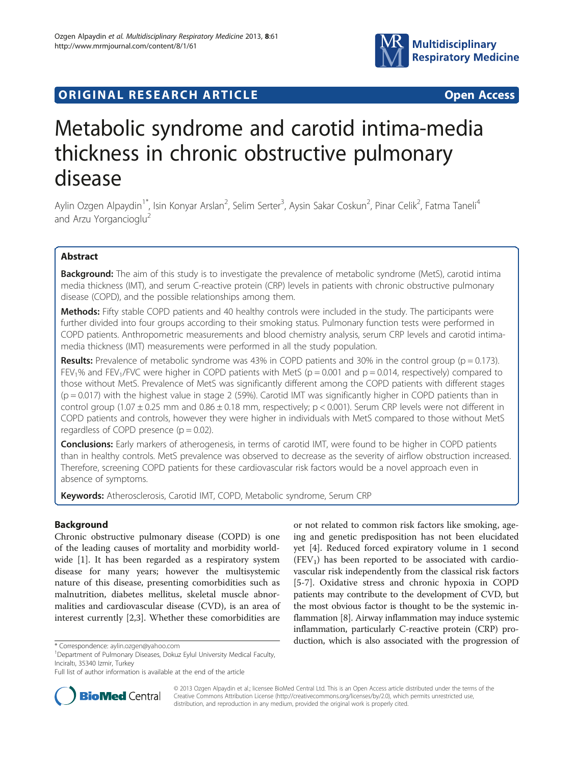

# **ORIGINAL RESEARCH ARTICLE CONSUMING ACCESS**

# Metabolic syndrome and carotid intima-media thickness in chronic obstructive pulmonary disease

Aylin Ozgen Alpaydin<sup>1\*</sup>, Isin Konyar Arslan<sup>2</sup>, Selim Serter<sup>3</sup>, Aysin Sakar Coskun<sup>2</sup>, Pinar Celik<sup>2</sup>, Fatma Taneli<sup>4</sup> and Arzu Yorgancioglu<sup>2</sup>

# Abstract

Background: The aim of this study is to investigate the prevalence of metabolic syndrome (MetS), carotid intima media thickness (IMT), and serum C-reactive protein (CRP) levels in patients with chronic obstructive pulmonary disease (COPD), and the possible relationships among them.

Methods: Fifty stable COPD patients and 40 healthy controls were included in the study. The participants were further divided into four groups according to their smoking status. Pulmonary function tests were performed in COPD patients. Anthropometric measurements and blood chemistry analysis, serum CRP levels and carotid intimamedia thickness (IMT) measurements were performed in all the study population.

**Results:** Prevalence of metabolic syndrome was 43% in COPD patients and 30% in the control group ( $p = 0.173$ ). FEV<sub>1</sub>% and FEV<sub>1</sub>/FVC were higher in COPD patients with MetS ( $p = 0.001$  and  $p = 0.014$ , respectively) compared to those without MetS. Prevalence of MetS was significantly different among the COPD patients with different stages (p = 0.017) with the highest value in stage 2 (59%). Carotid IMT was significantly higher in COPD patients than in control group (1.07  $\pm$  0.25 mm and 0.86  $\pm$  0.18 mm, respectively; p < 0.001). Serum CRP levels were not different in COPD patients and controls, however they were higher in individuals with MetS compared to those without MetS regardless of COPD presence  $(p = 0.02)$ .

Conclusions: Early markers of atherogenesis, in terms of carotid IMT, were found to be higher in COPD patients than in healthy controls. MetS prevalence was observed to decrease as the severity of airflow obstruction increased. Therefore, screening COPD patients for these cardiovascular risk factors would be a novel approach even in absence of symptoms.

Keywords: Atherosclerosis, Carotid IMT, COPD, Metabolic syndrome, Serum CRP

# Background

Chronic obstructive pulmonary disease (COPD) is one of the leading causes of mortality and morbidity worldwide [[1](#page-7-0)]. It has been regarded as a respiratory system disease for many years; however the multisystemic nature of this disease, presenting comorbidities such as malnutrition, diabetes mellitus, skeletal muscle abnormalities and cardiovascular disease (CVD), is an area of interest currently [\[2,3](#page-7-0)]. Whether these comorbidities are

or not related to common risk factors like smoking, ageing and genetic predisposition has not been elucidated yet [\[4](#page-7-0)]. Reduced forced expiratory volume in 1 second  $(FEV<sub>1</sub>)$  has been reported to be associated with cardiovascular risk independently from the classical risk factors [[5-7](#page-7-0)]. Oxidative stress and chronic hypoxia in COPD patients may contribute to the development of CVD, but the most obvious factor is thought to be the systemic inflammation [\[8](#page-7-0)]. Airway inflammation may induce systemic inflammation, particularly C-reactive protein (CRP) production, which is also associated with the progression of \* Correspondence: [aylin.ozgen@yahoo.com](mailto:aylin.ozgen@yahoo.com) <sup>1</sup>



© 2013 Ozgen Alpaydin et al.; licensee BioMed Central Ltd. This is an Open Access article distributed under the terms of the Creative Commons Attribution License (<http://creativecommons.org/licenses/by/2.0>), which permits unrestricted use, distribution, and reproduction in any medium, provided the original work is properly cited.

<sup>&</sup>lt;sup>1</sup>Department of Pulmonary Diseases, Dokuz Eylul University Medical Faculty, Inciraltı, 35340 Izmir, Turkey

Full list of author information is available at the end of the article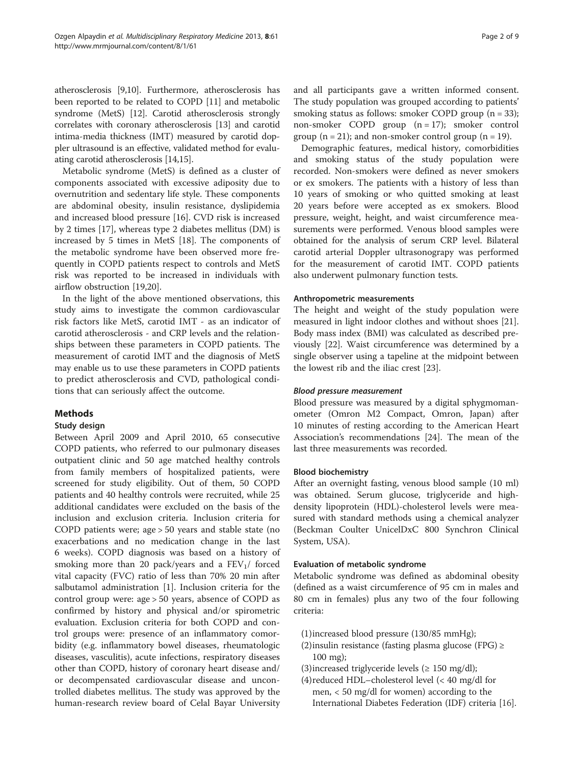atherosclerosis [[9,10](#page-7-0)]. Furthermore, atherosclerosis has been reported to be related to COPD [[11](#page-7-0)] and metabolic syndrome (MetS) [[12\]](#page-7-0). Carotid atherosclerosis strongly correlates with coronary atherosclerosis [[13](#page-7-0)] and carotid intima-media thickness (IMT) measured by carotid doppler ultrasound is an effective, validated method for evaluating carotid atherosclerosis [\[14,15\]](#page-7-0).

Metabolic syndrome (MetS) is defined as a cluster of components associated with excessive adiposity due to overnutrition and sedentary life style. These components are abdominal obesity, insulin resistance, dyslipidemia and increased blood pressure [[16\]](#page-7-0). CVD risk is increased by 2 times [\[17](#page-7-0)], whereas type 2 diabetes mellitus (DM) is increased by 5 times in MetS [[18\]](#page-7-0). The components of the metabolic syndrome have been observed more frequently in COPD patients respect to controls and MetS risk was reported to be increased in individuals with airflow obstruction [[19](#page-7-0),[20](#page-7-0)].

In the light of the above mentioned observations, this study aims to investigate the common cardiovascular risk factors like MetS, carotid IMT - as an indicator of carotid atherosclerosis - and CRP levels and the relationships between these parameters in COPD patients. The measurement of carotid IMT and the diagnosis of MetS may enable us to use these parameters in COPD patients to predict atherosclerosis and CVD, pathological conditions that can seriously affect the outcome.

# Methods

#### Study design

Between April 2009 and April 2010, 65 consecutive COPD patients, who referred to our pulmonary diseases outpatient clinic and 50 age matched healthy controls from family members of hospitalized patients, were screened for study eligibility. Out of them, 50 COPD patients and 40 healthy controls were recruited, while 25 additional candidates were excluded on the basis of the inclusion and exclusion criteria. Inclusion criteria for COPD patients were; age > 50 years and stable state (no exacerbations and no medication change in the last 6 weeks). COPD diagnosis was based on a history of smoking more than 20 pack/years and a  $FEV<sub>1</sub>$  forced vital capacity (FVC) ratio of less than 70% 20 min after salbutamol administration [\[1](#page-7-0)]. Inclusion criteria for the control group were: age > 50 years, absence of COPD as confirmed by history and physical and/or spirometric evaluation. Exclusion criteria for both COPD and control groups were: presence of an inflammatory comorbidity (e.g. inflammatory bowel diseases, rheumatologic diseases, vasculitis), acute infections, respiratory diseases other than COPD, history of coronary heart disease and/ or decompensated cardiovascular disease and uncontrolled diabetes mellitus. The study was approved by the human-research review board of Celal Bayar University and all participants gave a written informed consent. The study population was grouped according to patients' smoking status as follows: smoker COPD group  $(n = 33)$ ; non-smoker COPD group (n = 17); smoker control group  $(n = 21)$ ; and non-smoker control group  $(n = 19)$ .

Demographic features, medical history, comorbidities and smoking status of the study population were recorded. Non-smokers were defined as never smokers or ex smokers. The patients with a history of less than 10 years of smoking or who quitted smoking at least 20 years before were accepted as ex smokers. Blood pressure, weight, height, and waist circumference measurements were performed. Venous blood samples were obtained for the analysis of serum CRP level. Bilateral carotid arterial Doppler ultrasonograpy was performed for the measurement of carotid IMT. COPD patients also underwent pulmonary function tests.

## Anthropometric measurements

The height and weight of the study population were measured in light indoor clothes and without shoes [\[21](#page-7-0)]. Body mass index (BMI) was calculated as described previously [\[22](#page-7-0)]. Waist circumference was determined by a single observer using a tapeline at the midpoint between the lowest rib and the iliac crest [\[23](#page-7-0)].

#### Blood pressure measurement

Blood pressure was measured by a digital sphygmomanometer (Omron M2 Compact, Omron, Japan) after 10 minutes of resting according to the American Heart Association's recommendations [[24\]](#page-7-0). The mean of the last three measurements was recorded.

#### Blood biochemistry

After an overnight fasting, venous blood sample (10 ml) was obtained. Serum glucose, triglyceride and highdensity lipoprotein (HDL)-cholesterol levels were measured with standard methods using a chemical analyzer (Beckman Coulter UnicelDxC 800 Synchron Clinical System, USA).

# Evaluation of metabolic syndrome

Metabolic syndrome was defined as abdominal obesity (defined as a waist circumference of 95 cm in males and 80 cm in females) plus any two of the four following criteria:

- (1)increased blood pressure (130/85 mmHg);
- (2)insulin resistance (fasting plasma glucose (FPG) ≥ 100 mg);
- (3) increased triglyceride levels ( $\geq 150$  mg/dl);
- (4)reduced HDL–cholesterol level (< 40 mg/dl for men, < 50 mg/dl for women) according to the International Diabetes Federation (IDF) criteria [\[16\]](#page-7-0).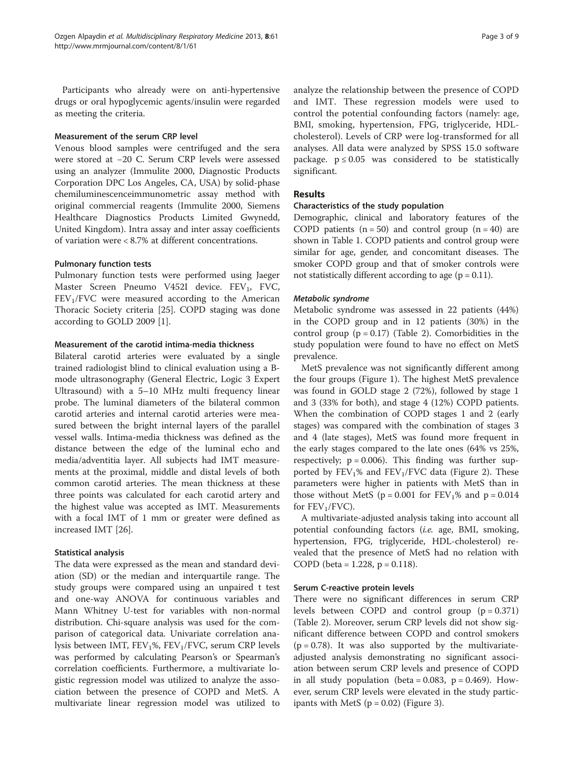Participants who already were on anti-hypertensive drugs or oral hypoglycemic agents/insulin were regarded as meeting the criteria.

#### Measurement of the serum CRP level

Venous blood samples were centrifuged and the sera were stored at −20 C. Serum CRP levels were assessed using an analyzer (Immulite 2000, Diagnostic Products Corporation DPC Los Angeles, CA, USA) by solid-phase chemiluminescenceimmunometric assay method with original commercial reagents (Immulite 2000, Siemens Healthcare Diagnostics Products Limited Gwynedd, United Kingdom). Intra assay and inter assay coefficients of variation were < 8.7% at different concentrations.

## Pulmonary function tests

Pulmonary function tests were performed using Jaeger Master Screen Pneumo V452I device. FEV<sub>1</sub>, FVC,  $FEV<sub>1</sub>/FVC$  were measured according to the American Thoracic Society criteria [\[25\]](#page-7-0). COPD staging was done according to GOLD 2009 [\[1\]](#page-7-0).

## Measurement of the carotid intima-media thickness

Bilateral carotid arteries were evaluated by a single trained radiologist blind to clinical evaluation using a Bmode ultrasonography (General Electric, Logic 3 Expert Ultrasound) with a 5–10 MHz multi frequency linear probe. The luminal diameters of the bilateral common carotid arteries and internal carotid arteries were measured between the bright internal layers of the parallel vessel walls. Intima-media thickness was defined as the distance between the edge of the luminal echo and media/adventitia layer. All subjects had IMT measurements at the proximal, middle and distal levels of both common carotid arteries. The mean thickness at these three points was calculated for each carotid artery and the highest value was accepted as IMT. Measurements with a focal IMT of 1 mm or greater were defined as increased IMT [\[26\]](#page-7-0).

#### Statistical analysis

The data were expressed as the mean and standard deviation (SD) or the median and interquartile range. The study groups were compared using an unpaired t test and one-way ANOVA for continuous variables and Mann Whitney U-test for variables with non-normal distribution. Chi-square analysis was used for the comparison of categorical data. Univariate correlation analysis between IMT, FEV<sub>1</sub>%, FEV<sub>1</sub>/FVC, serum CRP levels was performed by calculating Pearson's or Spearman's correlation coefficients. Furthermore, a multivariate logistic regression model was utilized to analyze the association between the presence of COPD and MetS. A multivariate linear regression model was utilized to analyze the relationship between the presence of COPD and IMT. These regression models were used to control the potential confounding factors (namely: age, BMI, smoking, hypertension, FPG, triglyceride, HDLcholesterol). Levels of CRP were log-transformed for all analyses. All data were analyzed by SPSS 15.0 software package.  $p \le 0.05$  was considered to be statistically significant.

# Results

## Characteristics of the study population

Demographic, clinical and laboratory features of the COPD patients  $(n = 50)$  and control group  $(n = 40)$  are shown in Table [1](#page-3-0). COPD patients and control group were similar for age, gender, and concomitant diseases. The smoker COPD group and that of smoker controls were not statistically different according to age  $(p = 0.11)$ .

#### Metabolic syndrome

Metabolic syndrome was assessed in 22 patients (44%) in the COPD group and in 12 patients (30%) in the control group  $(p = 0.17)$  (Table [2](#page-3-0)). Comorbidities in the study population were found to have no effect on MetS prevalence.

MetS prevalence was not significantly different among the four groups (Figure [1](#page-4-0)). The highest MetS prevalence was found in GOLD stage 2 (72%), followed by stage 1 and 3 (33% for both), and stage 4 (12%) COPD patients. When the combination of COPD stages 1 and 2 (early stages) was compared with the combination of stages 3 and 4 (late stages), MetS was found more frequent in the early stages compared to the late ones (64% vs 25%, respectively;  $p = 0.006$ ). This finding was further supported by  $FEV<sub>1</sub>%$  and  $FEV<sub>1</sub>/FVC$  data (Figure [2](#page-4-0)). These parameters were higher in patients with MetS than in those without MetS ( $p = 0.001$  for  $FEV_1\%$  and  $p = 0.014$ for  $FEV_1/FVC$ ).

A multivariate-adjusted analysis taking into account all potential confounding factors (i.e. age, BMI, smoking, hypertension, FPG, triglyceride, HDL-cholesterol) revealed that the presence of MetS had no relation with COPD (beta = 1.228,  $p = 0.118$ ).

#### Serum C-reactive protein levels

There were no significant differences in serum CRP levels between COPD and control group  $(p = 0.371)$ (Table [2](#page-3-0)). Moreover, serum CRP levels did not show significant difference between COPD and control smokers  $(p = 0.78)$ . It was also supported by the multivariateadjusted analysis demonstrating no significant association between serum CRP levels and presence of COPD in all study population (beta =  $0.083$ , p =  $0.469$ ). However, serum CRP levels were elevated in the study participants with MetS  $(p = 0.02)$  (Figure [3\)](#page-5-0).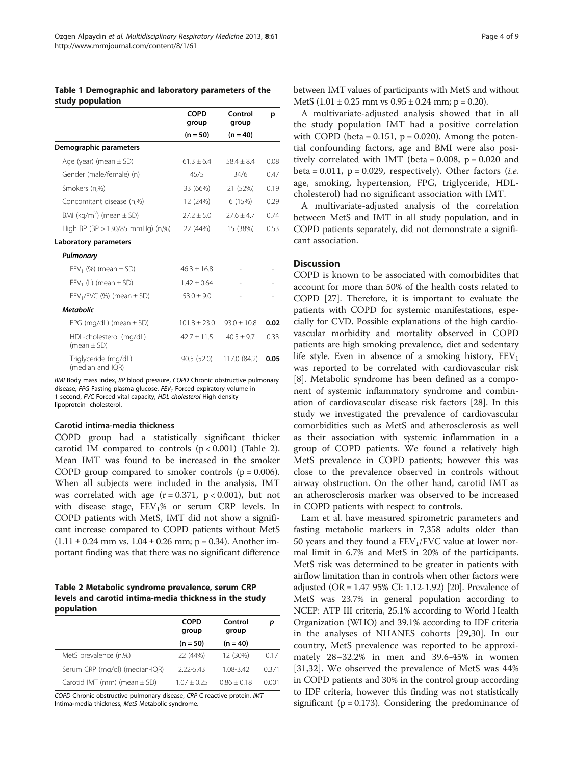<span id="page-3-0"></span>Table 1 Demographic and laboratory parameters of the study population

|                                            | <b>COPD</b><br>group | Control<br>group | p    |
|--------------------------------------------|----------------------|------------------|------|
|                                            | $(n = 50)$           | $(n = 40)$       |      |
| Demographic parameters                     |                      |                  |      |
| Age (year) (mean $\pm$ SD)                 | $61.3 + 6.4$         | $584 + 84$       | 0.08 |
| Gender (male/female) (n)                   | 45/5                 | 34/6             | 0.47 |
| Smokers (n,%)                              | 33 (66%)             | 21 (52%)         | 0.19 |
| Concomitant disease (n,%)                  | 12 (24%)             | 6 (15%)          | 0.29 |
| BMI (kg/m <sup>2</sup> ) (mean $\pm$ SD)   | $272 + 50$           | $27.6 + 4.7$     | 0.74 |
| High BP (BP > 130/85 mmHg) (n,%)           | 22 (44%)             | 15 (38%)         | 0.53 |
| Laboratory parameters                      |                      |                  |      |
| Pulmonary                                  |                      |                  |      |
| $FEV_1$ (%) (mean $\pm$ SD)                | $46.3 + 16.8$        |                  |      |
| $FEV_1$ (L) (mean $\pm$ SD)                | $1.42 + 0.64$        |                  |      |
| FEV <sub>1</sub> /FVC (%) (mean $\pm$ SD)  | $53.0 \pm 9.0$       |                  |      |
| <b>Metabolic</b>                           |                      |                  |      |
| FPG (mg/dL) (mean $\pm$ SD)                | $101.8 \pm 23.0$     | $93.0 + 10.8$    | 0.02 |
| HDL-cholesterol (mg/dL)<br>(mean $\pm$ SD) | $42.7 \pm 11.5$      | $40.5 + 9.7$     | 0.33 |
| Triglyceride (mg/dL)<br>(median and IQR)   | 90.5 (52.0)          | 117.0 (84.2)     | 0.05 |

BMI Body mass index, BP blood pressure, COPD Chronic obstructive pulmonary disease, FPG Fasting plasma glucose,  $FEV<sub>1</sub>$  Forced expiratory volume in 1 second, FVC Forced vital capacity, HDL-cholesterol High-density lipoprotein- cholesterol.

#### Carotid intima-media thickness

COPD group had a statistically significant thicker carotid IM compared to controls  $(p < 0.001)$  (Table 2). Mean IMT was found to be increased in the smoker COPD group compared to smoker controls  $(p = 0.006)$ . When all subjects were included in the analysis, IMT was correlated with age  $(r = 0.371, p < 0.001)$ , but not with disease stage,  $FEV<sub>1</sub>%$  or serum CRP levels. In COPD patients with MetS, IMT did not show a significant increase compared to COPD patients without MetS  $(1.11 \pm 0.24 \text{ mm vs. } 1.04 \pm 0.26 \text{ mm}; \text{ p = } 0.34)$ . Another important finding was that there was no significant difference

Table 2 Metabolic syndrome prevalence, serum CRP levels and carotid intima-media thickness in the study population

|                                  | <b>COPD</b><br>group | Control<br>group | р     |
|----------------------------------|----------------------|------------------|-------|
|                                  | $(n = 50)$           | $(n = 40)$       |       |
| MetS prevalence (n,%)            | 22 (44%)             | 12 (30%)         | 0.17  |
| Serum CRP (mg/dl) (median-IQR)   | $222 - 543$          | 1.08-3.42        | 0371  |
| Carotid IMT (mm) (mean $\pm$ SD) | $107 + 025$          | $0.86 + 0.18$    | 0.001 |

COPD Chronic obstructive pulmonary disease, CRP C reactive protein, IMT Intima-media thickness, MetS Metabolic syndrome.

between IMT values of participants with MetS and without MetS  $(1.01 \pm 0.25 \text{ mm} \text{ vs } 0.95 \pm 0.24 \text{ mm}; \text{ p} = 0.20).$ 

A multivariate-adjusted analysis showed that in all the study population IMT had a positive correlation with COPD (beta =  $0.151$ , p =  $0.020$ ). Among the potential confounding factors, age and BMI were also positively correlated with IMT (beta =  $0.008$ , p =  $0.020$  and beta =  $0.011$ , p =  $0.029$ , respectively). Other factors (*i.e.* age, smoking, hypertension, FPG, triglyceride, HDLcholesterol) had no significant association with IMT.

A multivariate-adjusted analysis of the correlation between MetS and IMT in all study population, and in COPD patients separately, did not demonstrate a significant association.

#### Discussion

COPD is known to be associated with comorbidites that account for more than 50% of the health costs related to COPD [[27\]](#page-7-0). Therefore, it is important to evaluate the patients with COPD for systemic manifestations, especially for CVD. Possible explanations of the high cardiovascular morbidity and mortality observed in COPD patients are high smoking prevalence, diet and sedentary life style. Even in absence of a smoking history,  $FEV<sub>1</sub>$ was reported to be correlated with cardiovascular risk [[8\]](#page-7-0). Metabolic syndrome has been defined as a component of systemic inflammatory syndrome and combination of cardiovascular disease risk factors [\[28](#page-7-0)]. In this study we investigated the prevalence of cardiovascular comorbidities such as MetS and atherosclerosis as well as their association with systemic inflammation in a group of COPD patients. We found a relatively high MetS prevalence in COPD patients; however this was close to the prevalence observed in controls without airway obstruction. On the other hand, carotid IMT as an atherosclerosis marker was observed to be increased in COPD patients with respect to controls.

Lam et al. have measured spirometric parameters and fasting metabolic markers in 7,358 adults older than 50 years and they found a  $FEV<sub>1</sub>/FVC$  value at lower normal limit in 6.7% and MetS in 20% of the participants. MetS risk was determined to be greater in patients with airflow limitation than in controls when other factors were adjusted (OR = 1.47 95% CI: 1.12-1.92) [[20\]](#page-7-0). Prevalence of MetS was 23.7% in general population according to NCEP: ATP III criteria, 25.1% according to World Health Organization (WHO) and 39.1% according to IDF criteria in the analyses of NHANES cohorts [[29,30\]](#page-7-0). In our country, MetS prevalence was reported to be approximately 28–32.2% in men and 39.6-45% in women [[31,32](#page-7-0)]. We observed the prevalence of MetS was 44% in COPD patients and 30% in the control group according to IDF criteria, however this finding was not statistically significant ( $p = 0.173$ ). Considering the predominance of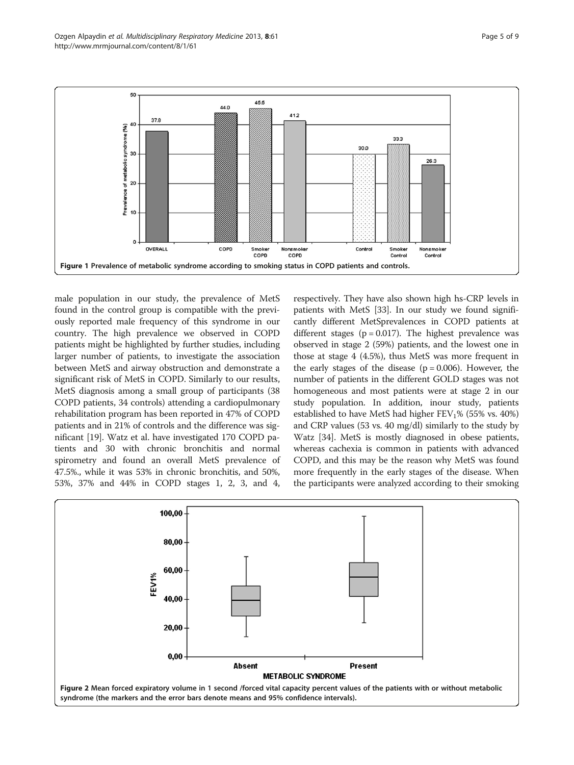<span id="page-4-0"></span>

male population in our study, the prevalence of MetS found in the control group is compatible with the previously reported male frequency of this syndrome in our country. The high prevalence we observed in COPD patients might be highlighted by further studies, including larger number of patients, to investigate the association between MetS and airway obstruction and demonstrate a significant risk of MetS in COPD. Similarly to our results, MetS diagnosis among a small group of participants (38 COPD patients, 34 controls) attending a cardiopulmonary rehabilitation program has been reported in 47% of COPD patients and in 21% of controls and the difference was significant [\[19\]](#page-7-0). Watz et al. have investigated 170 COPD patients and 30 with chronic bronchitis and normal spirometry and found an overall MetS prevalence of 47.5%., while it was 53% in chronic bronchitis, and 50%, 53%, 37% and 44% in COPD stages 1, 2, 3, and 4,

respectively. They have also shown high hs-CRP levels in patients with MetS [\[33](#page-7-0)]. In our study we found significantly different MetSprevalences in COPD patients at different stages ( $p = 0.017$ ). The highest prevalence was observed in stage 2 (59%) patients, and the lowest one in those at stage 4 (4.5%), thus MetS was more frequent in the early stages of the disease  $(p = 0.006)$ . However, the number of patients in the different GOLD stages was not homogeneous and most patients were at stage 2 in our study population. In addition, inour study, patients established to have MetS had higher  $FEV<sub>1</sub>%$  (55% vs. 40%) and CRP values (53 vs. 40 mg/dl) similarly to the study by Watz [[34](#page-7-0)]. MetS is mostly diagnosed in obese patients, whereas cachexia is common in patients with advanced COPD, and this may be the reason why MetS was found more frequently in the early stages of the disease. When the participants were analyzed according to their smoking

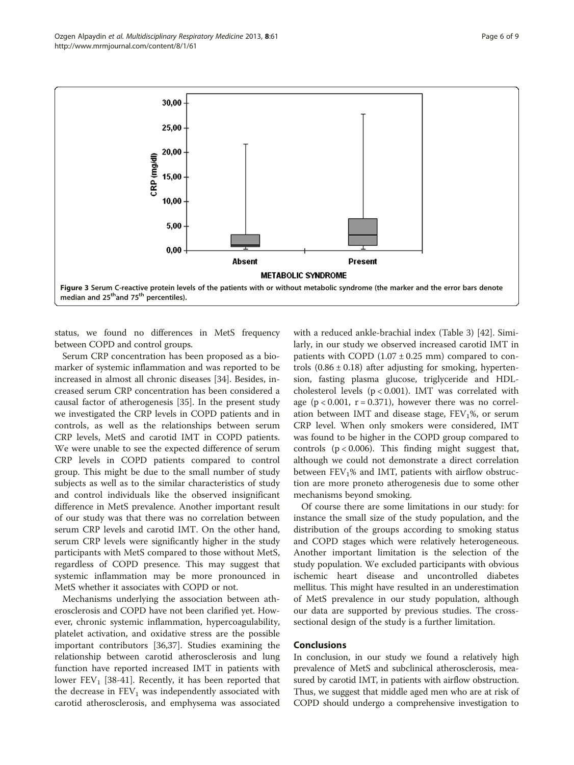<span id="page-5-0"></span>

status, we found no differences in MetS frequency between COPD and control groups.

Serum CRP concentration has been proposed as a biomarker of systemic inflammation and was reported to be increased in almost all chronic diseases [\[34](#page-7-0)]. Besides, increased serum CRP concentration has been considered a causal factor of atherogenesis [[35](#page-7-0)]. In the present study we investigated the CRP levels in COPD patients and in controls, as well as the relationships between serum CRP levels, MetS and carotid IMT in COPD patients. We were unable to see the expected difference of serum CRP levels in COPD patients compared to control group. This might be due to the small number of study subjects as well as to the similar characteristics of study and control individuals like the observed insignificant difference in MetS prevalence. Another important result of our study was that there was no correlation between serum CRP levels and carotid IMT. On the other hand, serum CRP levels were significantly higher in the study participants with MetS compared to those without MetS, regardless of COPD presence. This may suggest that systemic inflammation may be more pronounced in MetS whether it associates with COPD or not.

Mechanisms underlying the association between atherosclerosis and COPD have not been clarified yet. However, chronic systemic inflammation, hypercoagulability, platelet activation, and oxidative stress are the possible important contributors [\[36,37\]](#page-7-0). Studies examining the relationship between carotid atherosclerosis and lung function have reported increased IMT in patients with lower  $FEV_1$  [[38](#page-8-0)-[41\]](#page-8-0). Recently, it has been reported that the decrease in  $FEV<sub>1</sub>$  was independently associated with carotid atherosclerosis, and emphysema was associated

with a reduced ankle-brachial index (Table [3\)](#page-6-0) [\[42](#page-8-0)]. Similarly, in our study we observed increased carotid IMT in patients with COPD  $(1.07 \pm 0.25 \text{ mm})$  compared to controls  $(0.86 \pm 0.18)$  after adjusting for smoking, hypertension, fasting plasma glucose, triglyceride and HDLcholesterol levels (p < 0.001). IMT was correlated with age  $(p < 0.001, r = 0.371)$ , however there was no correlation between IMT and disease stage,  $FEV<sub>1</sub>%$ , or serum CRP level. When only smokers were considered, IMT was found to be higher in the COPD group compared to controls  $(p < 0.006)$ . This finding might suggest that, although we could not demonstrate a direct correlation between  $FEV<sub>1</sub>%$  and IMT, patients with airflow obstruction are more proneto atherogenesis due to some other mechanisms beyond smoking.

Of course there are some limitations in our study: for instance the small size of the study population, and the distribution of the groups according to smoking status and COPD stages which were relatively heterogeneous. Another important limitation is the selection of the study population. We excluded participants with obvious ischemic heart disease and uncontrolled diabetes mellitus. This might have resulted in an underestimation of MetS prevalence in our study population, although our data are supported by previous studies. The crosssectional design of the study is a further limitation.

#### Conclusions

In conclusion, in our study we found a relatively high prevalence of MetS and subclinical atherosclerosis, measured by carotid IMT, in patients with airflow obstruction. Thus, we suggest that middle aged men who are at risk of COPD should undergo a comprehensive investigation to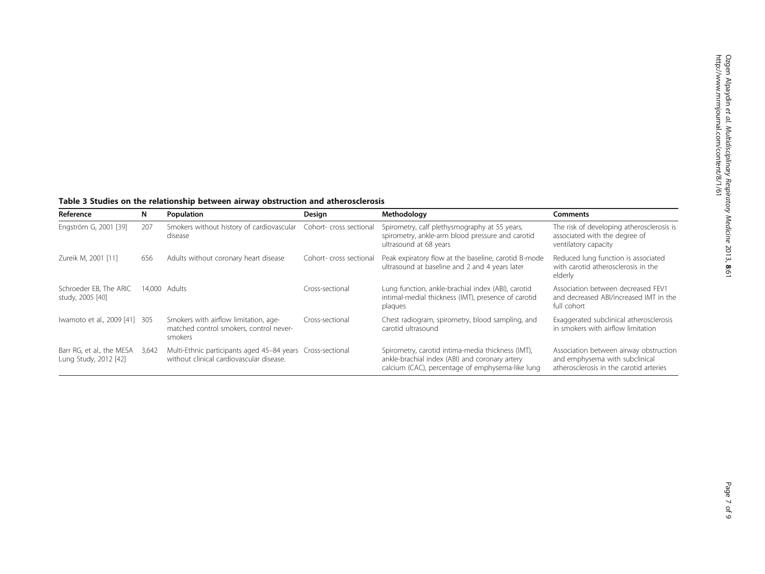<span id="page-6-0"></span>Table 3 Studies on the relationship between airway obstruction and atherosclerosis

| Reference                                          | N     | Population                                                                                             | Design                  | Methodology                                                                                                                                             | <b>Comments</b>                                                                                                     |
|----------------------------------------------------|-------|--------------------------------------------------------------------------------------------------------|-------------------------|---------------------------------------------------------------------------------------------------------------------------------------------------------|---------------------------------------------------------------------------------------------------------------------|
| Engström G, 2001 [39]                              | 207   | Smokers without history of cardiovascular<br>disease                                                   | Cohort- cross sectional | Spirometry, calf plethysmography at 55 years,<br>spirometry, ankle-arm blood pressure and carotid<br>ultrasound at 68 years                             | The risk of developing atherosclerosis is<br>associated with the degree of<br>ventilatory capacity                  |
| Zureik M, 2001 [11]                                | 656   | Adults without coronary heart disease                                                                  | Cohort-cross sectional  | Peak expiratory flow at the baseline, carotid B-mode<br>ultrasound at baseline and 2 and 4 years later                                                  | Reduced lung function is associated<br>with carotid atherosclerosis in the<br>elderly                               |
| Schroeder EB. The ARIC<br>study, 2005 [40]         |       | 14.000 Adults                                                                                          | Cross-sectional         | Lung function, ankle-brachial index (ABI), carotid<br>intimal-medial thickness (IMT), presence of carotid<br>plaques                                    | Association between decreased FEV1<br>and decreased ABI/increased IMT in the<br>full cohort                         |
| Iwamoto et al., 2009 [41] 305                      |       | Smokers with airflow limitation, age-<br>matched control smokers, control never-<br>smokers            | Cross-sectional         | Chest radiogram, spirometry, blood sampling, and<br>carotid ultrasound                                                                                  | Exaggerated subclinical atherosclerosis<br>in smokers with airflow limitation                                       |
| Barr RG, et al., the MESA<br>Lung Study, 2012 [42] | 3,642 | Multi-Ethnic participants aged 45-84 years Cross-sectional<br>without clinical cardiovascular disease. |                         | Spirometry, carotid intima-media thickness (IMT),<br>ankle-brachial index (ABI) and coronary artery<br>calcium (CAC), percentage of emphysema-like lung | Association between airway obstruction<br>and emphysema with subclinical<br>atherosclerosis in the carotid arteries |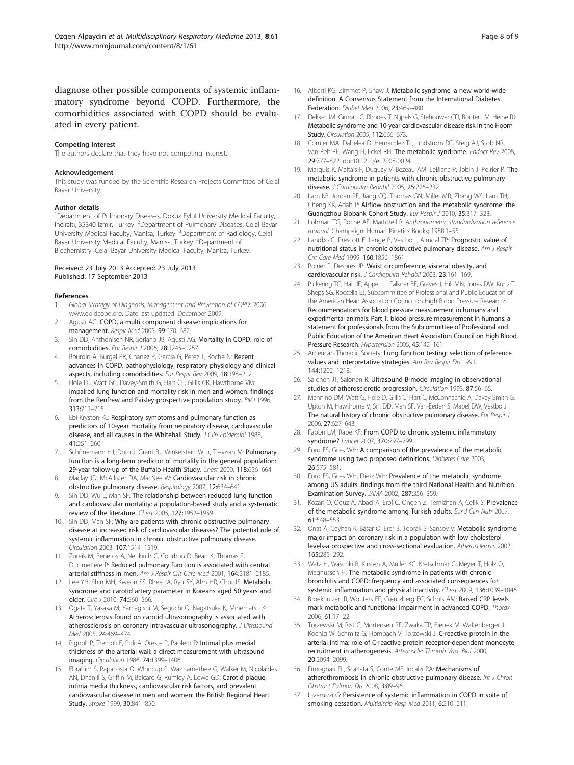<span id="page-7-0"></span>diagnose other possible components of systemic inflammatory syndrome beyond COPD. Furthermore, the comorbidities associated with COPD should be evaluated in every patient.

#### Competing interest

The authors declare that they have not competing interest.

#### Acknowledgement

This study was funded by the Scientific Research Projects Committee of Celal Bayar University.

#### Author details

<sup>1</sup>Department of Pulmonary Diseases, Dokuz Eylul University Medical Faculty, Inciraltı, 35340 Izmir, Turkey. <sup>2</sup>Department of Pulmonary Diseases, Celal Bayar University Medical Faculty, Manisa, Turkey. <sup>3</sup>Department of Radiology, Celal Bayar University Medical Faculty, Manisa, Turkey. <sup>4</sup>Department of Biochemistry, Celal Bayar University Medical Faculty, Manisa, Turkey.

#### Received: 23 July 2013 Accepted: 23 July 2013 Published: 17 September 2013

#### References

- Global Strategy of Diagnosis, Management and Prevention of COPD; 2006. [www.goldcopd.org.](http://www.goldcopd.org) Date last updated: December 2009.
- 2. Agusti AG: COPD, a multi component disease: implications for management. Respir Med 2005, 99:670–682.
- 3. Sin DD, Anthonisen NR, Soriano JB, Agusti AG: Mortality in COPD: role of comorbidities. Eur Respir J 2006, 28:1245–1257.
- Bourdin A, Burgel PR, Chanez P, Garcia G, Perez T, Roche N: Recent advances in COPD: pathophysiology, respiratory physiology and clinical aspects, including comorbidities. Eur Respir Rev 2009, 18:198–212.
- 5. Hole DJ, Watt GC, Davey-Smith G, Hart CL, Gillis CR, Hawthorne VM: Impaired lung function and mortality risk in men and women: findings from the Renfrew and Paisley prospective population study. BMJ 1996, 313:711–715.
- Ebi-Kryston KL: Respiratory symptoms and pulmonary function as predictors of 10-year mortality from respiratory disease, cardiovascular disease, and all causes in the Whitehall Study. J Clin Epidemiol 1988, 41:251–260.
- 7. Schñnemann HJ, Dorn J, Grant BJ, Winkelstein W Jr, Trevisan M: Pulmonary function is a long-term predictor of mortality in the general population: 29-year follow-up of the Buffalo Health Study. Chest 2000, 118:656–664.
- 8. Maclay JD, McAllister DA, MacNee W: Cardiovascular risk in chronic obstructive pulmonary disease. Respirology 2007, 12:634–641.
- 9. Sin DD, Wu L, Man SF: The relationship between reduced lung function and cardiovascular mortality: a population-based study and a systematic review of the literature. Chest 2005, 127:1952–1959.
- 10. Sin DD, Man SF: Why are patients with chronic obstructive pulmonary disease at increased risk of cardiovascular diseases? The potential role of systemic inflammation in chronic obstructive pulmonary disease. Circulation 2003, 107:1514–1519.
- 11. Zureik M, Benetos A, Neukirch C, Courbon D, Bean K, Thomas F, Ducimetière P: Reduced pulmonary function is associated with central arterial stiffness in men. Am J Respir Crit Care Med 2001, 164:2181–2185.
- 12. Lee YH, Shin MH, Kweon SS, Rhee JA, Ryu SY, Ahn HR, Choi JS: Metabolic syndrome and carotid artery parameter in Koreans aged 50 years and older. Circ J 2010, 74:560–566.
- 13. Ogata T, Yasaka M, Yamagishi M, Seguchi O, Nagatsuka K, Minematsu K: Atherosclerosis found on carotid ultrasonography is associated with atherosclerosis on coronary intravascular ultrasonography. J Ultrasound Med 2005, 24:469–474.
- 14. Pignoli P, Tremoli E, Poli A, Oreste P, Paoletti R: Intimal plus medial thickness of the arterial wall: a direct measurement with ultrasound imaging. Circulation 1986, 74:1399–1406.
- 15. Ebrahim S, Papacosta O, Whincup P, Wannamethee G, Walker M, Nicolaides AN, Dhanjil S, Griffin M, Belcaro G, Rumley A, Lowe GD: Carotid plaque, intima media thickness, cardiovascular risk factors, and prevalent cardiovascular disease in men and women: the British Regional Heart Study. Stroke 1999, 30:841–850.
- 16. Alberti KG, Zimmet P, Shaw J: Metabolic syndrome–a new world-wide definition. A Consensus Statement from the International Diabetes Federation. Diabet Med 2006, 23:469–480.
- 17. Dekker JM, Girman C, Rhodes T, Nijpels G, Stehouwer CD, Bouter LM, Heine RJ: Metabolic syndrome and 10-year cardiovascular disease risk in the Hoorn Study. Circulation 2005, 112:666-673.
- 18. Cornier MA, Dabelea D, Hernandez TL, Lindstrom RC, Steig AJ, Stob NR, Van-Pelt RE, Wang H, Eckel RH: The metabolic syndrome. Endocr Rev 2008, 29:777–822. doi:10.1210/er.2008-0024.
- 19. Marquis K, Maltais F, Duguay V, Bezeau AM, LeBlanc P, Jobin J, Poirier P: The metabolic syndrome in patients with chronic obstructive pulmonary disease. J Cardiopulm Rehabil 2005, 25:226–232.
- 20. Lam KB, Jordan RE, Jiang CQ, Thomas GN, Miller MR, Zhang WS, Lam TH, Cheng KK, Adab P: Airflow obstruction and the metabolic syndrome: the Guangzhou Biobank Cohort Study. Eur Respir J 2010, 35:317–323.
- 21. Lohman TG, Roche AF, Martorell R: Anthropometric standardization reference manual. Champaign: Human Kinetics Books; 1988:1–55.
- 22. Landbo C, Prescott E, Lange P, Vestbo J, Almdal TP: Prognostic value of nutritional status in chronic obstructive pulmonary disease. Am J Respir Crit Care Med 1999, 160:1856–1861.
- 23. Poirier P, Després JP: Waist circumference, visceral obesity, and cardiovascular risk. J Cardiopulm Rehabil 2003, 23:161–169.
- 24. Pickering TG, Hall JE, Appel LJ, Falkner BE, Graves J, Hill MN, Jones DW, Kurtz T, Sheps SG, Roccella EJ, Subcommittee of Professional and Public Education of the American Heart Association Council on High Blood Pressure Research: Recommendations for blood pressure measurement in humans and experimental animals: Part 1: blood pressure measurement in humans: a statement for professionals from the Subcommittee of Professional and Public Education of the American Heart Association Council on High Blood Pressure Research. Hypertension 2005, 45:142–161.
- 25. American Thoracic Society: Lung function testing: selection of reference values and interpretative strategies. Am Rev Respir Dis 1991, 144:1202–1218.
- 26. Salonen JT, Salonen R: Ultrasound B-mode imaging in observational studies of atherosclerotic progression. Circulation 1993, 87:56–65.
- 27. Mannino DM, Watt G, Hole D, Gillis C, Hart C, McConnachie A, Davey Smith G, Upton M, Hawthorne V, Sin DD, Man SF, Van-Eeden S, Mapel DW, Vestbo J: The natural history of chronic obstructive pulmonary disease. Eur Respir J 2006, 27:627–643.
- 28. Fabbri LM, Rabe KF: From COPD to chronic systemic inflammatory syndrome? Lancet 2007, 370:797–799.
- 29. Ford ES, Giles WH: A comparison of the prevalence of the metabolic syndrome using two proposed definitions. Diabetes Care 2003, 26:575–581.
- 30. Ford ES, Giles WH, Dietz WH: Prevalence of the metabolic syndrome among US adults: findings from the third National Health and Nutrition Examination Survey. JAMA 2002, 287:356–359.
- 31. Kozan O, Oguz A, Abaci A, Erol C, Ongen Z, Temizhan A, Celik S: Prevalence of the metabolic syndrome among Turkish adults. Eur J Clin Nutr 2007, 61:548–553.
- 32. Onat A, Ceyhan K, Basar O, Erer B, Toprak S, Sansoy V: Metabolic syndrome: major impact on coronary risk in a population with low cholesterol levels-a prospective and cross-sectional evaluation. Atherosclerosis 2002, 165:285–292.
- 33. Watz H, Waschki B, Kirsten A, Müller KC, Kretschmar G, Meyer T, Holz O, Magnussen H: The metabolic syndrome in patients with chronic bronchitis and COPD: frequency and associated consequences for systemic inflammation and physical inactivity. Chest 2009, 136:1039–1046.
- 34. Broekhuizen R, Wouters EF, Creutzberg EC, Schols AM: Raised CRP levels mark metabolic and functional impairment in advanced COPD. Thorax 2006, 61:17–22.
- 35. Torzewski M, Rist C, Mortensen RF, Zwaka TP, Bienek M, Waltenberger J, Koenig W, Schmitz G, Hombach V, Torzewski J: C-reactive protein in the arterial intima: role of C-reactive protein receptor-dependent monocyte recruitment in atherogenesis. Arterioscler Thromb Vasc Biol 2000, 20:2094–2099.
- 36. Fimognari FL, Scarlata S, Conte ME, Incalzi RA: Mechanisms of atherothrombosis in chronic obstructive pulmonary disease. Int J Chron Obstruct Pulmon Dis 2008, 3:89–96.
- 37. Invernizzi G: Persistence of systemic inflammation in COPD in spite of smoking cessation. Multidiscip Resp Med 2011, 6:210-211.